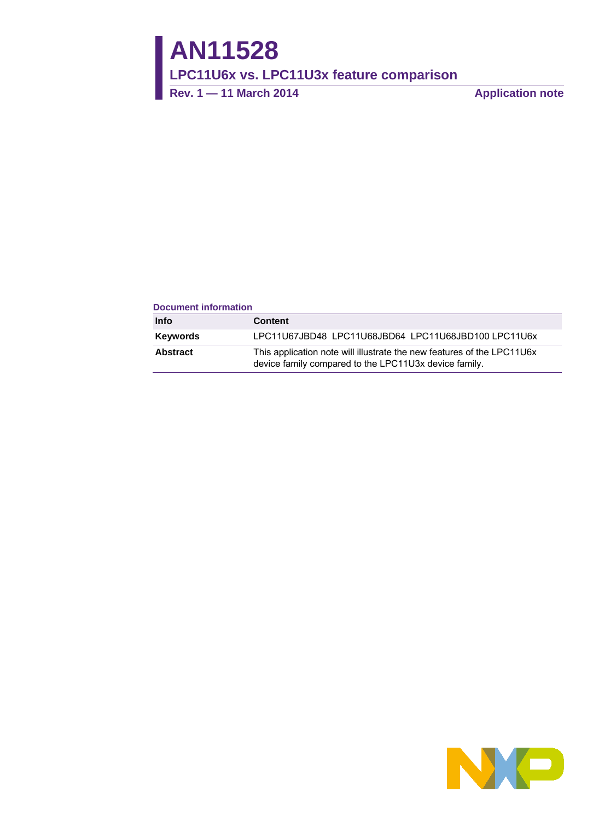**AN11528**

**LPC11U6x vs. LPC11U3x feature comparison**

**Rev. 1 — 11 March 2014 Application note**

#### **Document information**

| Info     | <b>Content</b>                                                                                                                  |
|----------|---------------------------------------------------------------------------------------------------------------------------------|
| Keywords | LPC11U67JBD48 LPC11U68JBD64 LPC11U68JBD100 LPC11U6x                                                                             |
| Abstract | This application note will illustrate the new features of the LPC11U6x<br>device family compared to the LPC11U3x device family. |

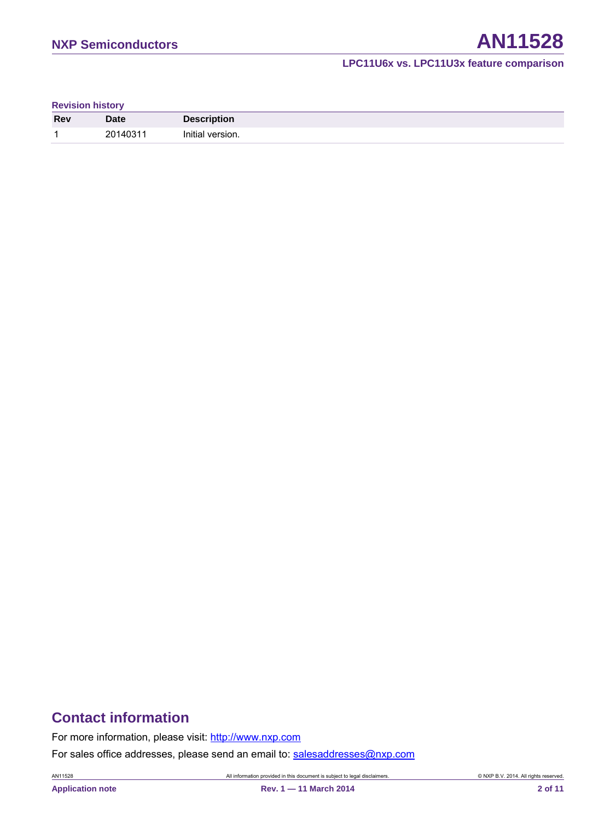#### **Revision history**

| <b>Rev</b> | Date     | <b>Description</b> |
|------------|----------|--------------------|
| л          | 20140311 | Initial version.   |

# **Contact information**

For more information, please visit: [http://www.nxp.com](http://www.nxp.com/)

For sales office addresses, please send an email to: [salesaddresses@nxp.com](mailto:salesaddresses@nxp.com)

AN11528 All information provided in this document is subject to legal disclaimers. © NXP B.V. 2014. All rights reserved.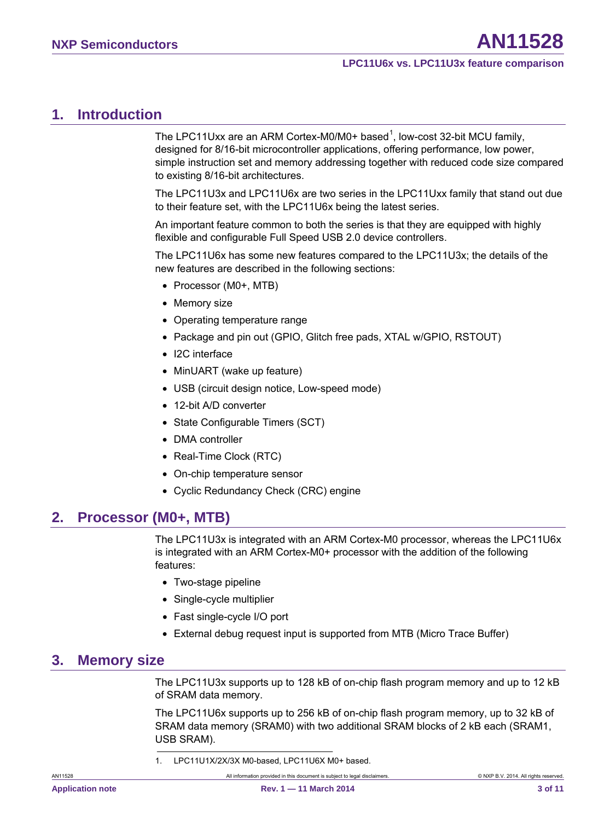# <span id="page-2-1"></span>**1. Introduction**

The LPC[1](#page-2-0)1Uxx are an ARM Cortex-M0/M0+ based<sup>1</sup>, low-cost 32-bit MCU family, designed for 8/16-bit microcontroller applications, offering performance, low power, simple instruction set and memory addressing together with reduced code size compared to existing 8/16-bit architectures.

The LPC11U3x and LPC11U6x are two series in the LPC11Uxx family that stand out due to their feature set, with the LPC11U6x being the latest series.

An important feature common to both the series is that they are equipped with highly flexible and configurable Full Speed USB 2.0 device controllers.

The LPC11U6x has some new features compared to the LPC11U3x; the details of the new features are described in the following sections:

- Processor (M0+, MTB)
- Memory size
- Operating temperature range
- Package and pin out (GPIO, Glitch free pads, XTAL w/GPIO, RSTOUT)
- I2C interface
- MinUART (wake up feature)
- USB (circuit design notice, Low-speed mode)
- 12-bit A/D converter
- State Configurable Timers (SCT)
- DMA controller
- Real-Time Clock (RTC)
- On-chip temperature sensor
- Cyclic Redundancy Check (CRC) engine

# <span id="page-2-2"></span>**2. Processor (M0+, MTB)**

The LPC11U3x is integrated with an ARM Cortex-M0 processor, whereas the LPC11U6x is integrated with an ARM Cortex-M0+ processor with the addition of the following features:

- Two-stage pipeline
- Single-cycle multiplier
- Fast single-cycle I/O port
- External debug request input is supported from MTB (Micro Trace Buffer)

# <span id="page-2-3"></span><span id="page-2-0"></span>**3. Memory size**

The LPC11U3x supports up to 128 kB of on-chip flash program memory and up to 12 kB of SRAM data memory.

The LPC11U6x supports up to 256 kB of on-chip flash program memory, up to 32 kB of SRAM data memory (SRAM0) with two additional SRAM blocks of 2 kB each (SRAM1, USB SRAM).

1. LPC11U1X/2X/3X M0-based, LPC11U6X M0+ based.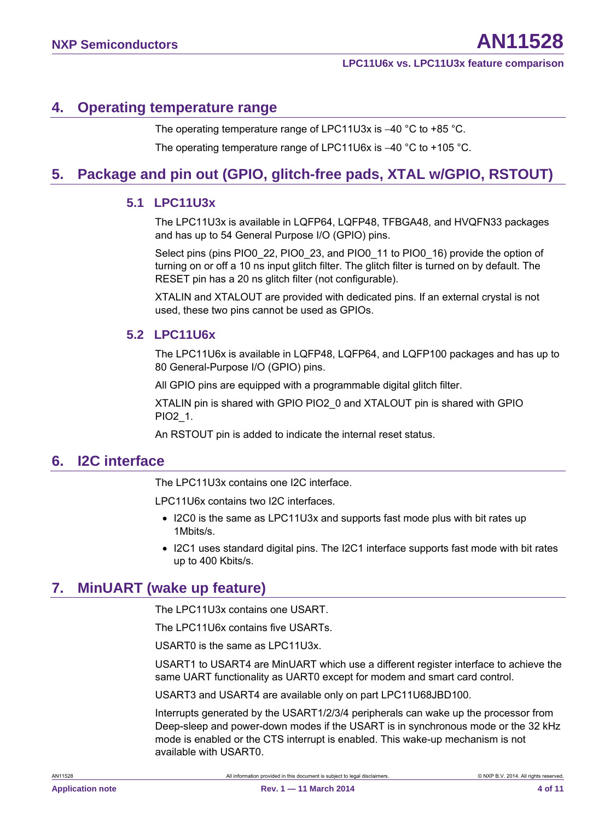# <span id="page-3-0"></span>**4. Operating temperature range**

The operating temperature range of LPC11U3x is −40 °C to +85 °C.

The operating temperature range of LPC11U6x is –40 °C to +105 °C.

# <span id="page-3-1"></span>**5. Package and pin out (GPIO, glitch-free pads, XTAL w/GPIO, RSTOUT)**

### <span id="page-3-2"></span>**5.1 LPC11U3x**

The LPC11U3x is available in LQFP64, LQFP48, TFBGA48, and HVQFN33 packages and has up to 54 General Purpose I/O (GPIO) pins.

Select pins (pins PIO0\_22, PIO0\_23, and PIO0\_11 to PIO0\_16) provide the option of turning on or off a 10 ns input glitch filter. The glitch filter is turned on by default. The RESET pin has a 20 ns glitch filter (not configurable).

XTALIN and XTALOUT are provided with dedicated pins. If an external crystal is not used, these two pins cannot be used as GPIOs.

### <span id="page-3-3"></span>**5.2 LPC11U6x**

The LPC11U6x is available in LQFP48, LQFP64, and LQFP100 packages and has up to 80 General-Purpose I/O (GPIO) pins.

All GPIO pins are equipped with a programmable digital glitch filter.

XTALIN pin is shared with GPIO PIO2\_0 and XTALOUT pin is shared with GPIO PIO2\_1.

An RSTOUT pin is added to indicate the internal reset status.

### <span id="page-3-4"></span>**6. I2C interface**

The LPC11U3x contains one I2C interface.

LPC11U6x contains two I2C interfaces.

- I2C0 is the same as LPC11U3x and supports fast mode plus with bit rates up 1Mbits/s.
- I2C1 uses standard digital pins. The I2C1 interface supports fast mode with bit rates up to 400 Kbits/s.

# <span id="page-3-5"></span>**7. MinUART (wake up feature)**

The LPC11U3x contains one USART.

The LPC11U6x contains five USARTs.

USART0 is the same as LPC11U3x.

USART1 to USART4 are MinUART which use a different register interface to achieve the same UART functionality as UART0 except for modem and smart card control.

USART3 and USART4 are available only on part LPC11U68JBD100.

Interrupts generated by the USART1/2/3/4 peripherals can wake up the processor from Deep-sleep and power-down modes if the USART is in synchronous mode or the 32 kHz mode is enabled or the CTS interrupt is enabled. This wake-up mechanism is not available with USART0.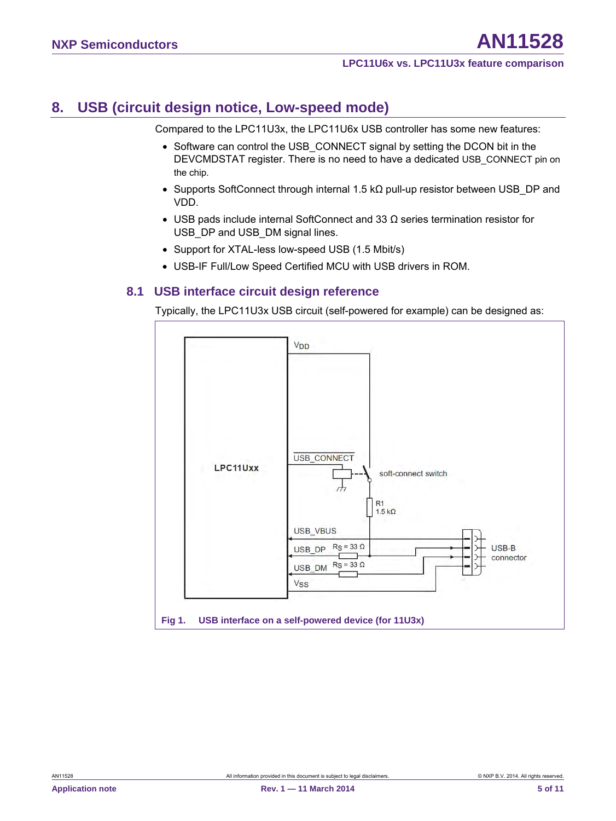# <span id="page-4-1"></span>**8. USB (circuit design notice, Low-speed mode)**

Compared to the LPC11U3x, the LPC11U6x USB controller has some new features:

- Software can control the USB CONNECT signal by setting the DCON bit in the DEVCMDSTAT register. There is no need to have a dedicated USB\_CONNECT pin on the chip.
- Supports SoftConnect through internal 1.5 k $\Omega$  pull-up resistor between USB\_DP and VDD.
- USB pads include internal SoftConnect and 33 Ω series termination resistor for USB DP and USB DM signal lines.
- Support for XTAL-less low-speed USB (1.5 Mbit/s)
- <span id="page-4-2"></span>• USB-IF Full/Low Speed Certified MCU with USB drivers in ROM.

### **8.1 USB interface circuit design reference**

Typically, the LPC11U3x USB circuit (self-powered for example) can be designed as:

<span id="page-4-0"></span>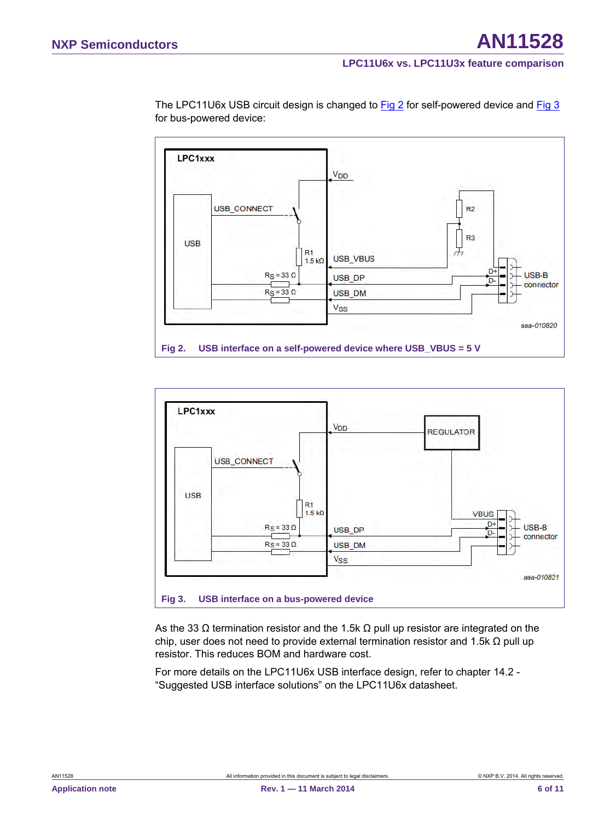



<span id="page-5-0"></span>

<span id="page-5-1"></span>As the 33  $\Omega$  termination resistor and the 1.5k  $\Omega$  pull up resistor are integrated on the chip, user does not need to provide external termination resistor and 1.5k  $\Omega$  pull up resistor. This reduces BOM and hardware cost.

For more details on the LPC11U6x USB interface design, refer to chapter 14.2 - "Suggested USB interface solutions" on the LPC11U6x datasheet.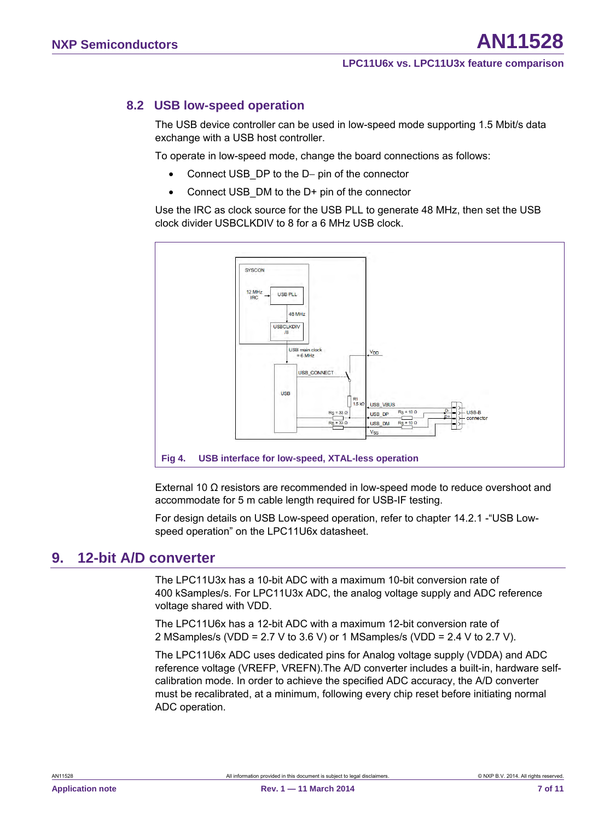### **8.2 USB low-speed operation**

<span id="page-6-1"></span>The USB device controller can be used in low-speed mode supporting 1.5 Mbit/s data exchange with a USB host controller.

To operate in low-speed mode, change the board connections as follows:

- Connect USB\_DP to the D− pin of the connector
- Connect USB DM to the D+ pin of the connector

Use the IRC as clock source for the USB PLL to generate 48 MHz, then set the USB clock divider USBCLKDIV to 8 for a 6 MHz USB clock.



<span id="page-6-0"></span>External 10 Ω resistors are recommended in low-speed mode to reduce overshoot and accommodate for 5 m cable length required for USB-IF testing.

For design details on USB Low-speed operation, refer to chapter 14.2.1 -"USB Lowspeed operation" on the LPC11U6x datasheet.

### <span id="page-6-2"></span>**9. 12-bit A/D converter**

The LPC11U3x has a 10-bit ADC with a maximum 10-bit conversion rate of 400 kSamples/s. For LPC11U3x ADC, the analog voltage supply and ADC reference voltage shared with VDD.

The LPC11U6x has a 12-bit ADC with a maximum 12-bit conversion rate of 2 MSamples/s (VDD = 2.7 V to 3.6 V) or 1 MSamples/s (VDD = 2.4 V to 2.7 V).

The LPC11U6x ADC uses dedicated pins for Analog voltage supply (VDDA) and ADC reference voltage (VREFP, VREFN).The A/D converter includes a built-in, hardware selfcalibration mode. In order to achieve the specified ADC accuracy, the A/D converter must be recalibrated, at a minimum, following every chip reset before initiating normal ADC operation.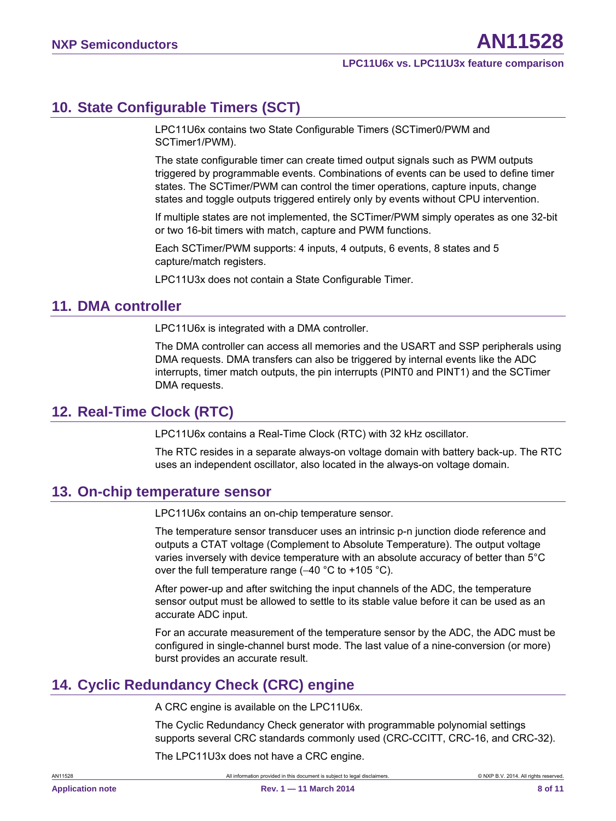# <span id="page-7-0"></span>**10. State Configurable Timers (SCT)**

LPC11U6x contains two State Configurable Timers (SCTimer0/PWM and SCTimer1/PWM).

The state configurable timer can create timed output signals such as PWM outputs triggered by programmable events. Combinations of events can be used to define timer states. The SCTimer/PWM can control the timer operations, capture inputs, change states and toggle outputs triggered entirely only by events without CPU intervention.

If multiple states are not implemented, the SCTimer/PWM simply operates as one 32-bit or two 16-bit timers with match, capture and PWM functions.

Each SCTimer/PWM supports: 4 inputs, 4 outputs, 6 events, 8 states and 5 capture/match registers.

LPC11U3x does not contain a State Configurable Timer.

### <span id="page-7-1"></span>**11. DMA controller**

LPC11U6x is integrated with a DMA controller.

The DMA controller can access all memories and the USART and SSP peripherals using DMA requests. DMA transfers can also be triggered by internal events like the ADC interrupts, timer match outputs, the pin interrupts (PINT0 and PINT1) and the SCTimer DMA requests.

# <span id="page-7-2"></span>**12. Real-Time Clock (RTC)**

LPC11U6x contains a Real-Time Clock (RTC) with 32 kHz oscillator.

The RTC resides in a separate always-on voltage domain with battery back-up. The RTC uses an independent oscillator, also located in the always-on voltage domain.

# <span id="page-7-3"></span>**13. On-chip temperature sensor**

LPC11U6x contains an on-chip temperature sensor.

The temperature sensor transducer uses an intrinsic p-n junction diode reference and outputs a CTAT voltage (Complement to Absolute Temperature). The output voltage varies inversely with device temperature with an absolute accuracy of better than 5°C over the full temperature range (−40 °C to +105 °C).

After power-up and after switching the input channels of the ADC, the temperature sensor output must be allowed to settle to its stable value before it can be used as an accurate ADC input.

For an accurate measurement of the temperature sensor by the ADC, the ADC must be configured in single-channel burst mode. The last value of a nine-conversion (or more) burst provides an accurate result.

# <span id="page-7-4"></span>**14. Cyclic Redundancy Check (CRC) engine**

A CRC engine is available on the LPC11U6x.

The Cyclic Redundancy Check generator with programmable polynomial settings supports several CRC standards commonly used (CRC-CCITT, CRC-16, and CRC-32).

The LPC11U3x does not have a CRC engine.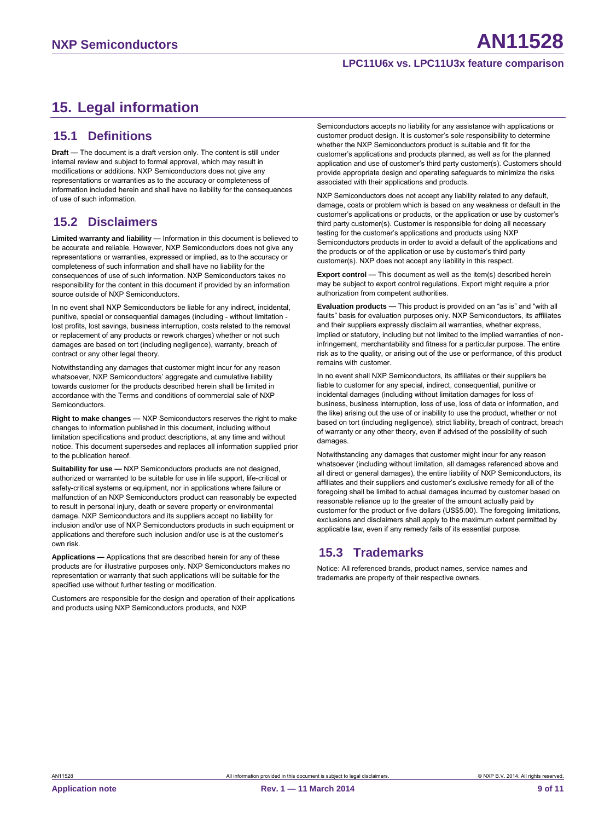# <span id="page-8-0"></span>**15. Legal information**

### <span id="page-8-1"></span>**15.1 Definitions**

**Draft —** The document is a draft version only. The content is still under internal review and subject to formal approval, which may result in modifications or additions. NXP Semiconductors does not give any representations or warranties as to the accuracy or completeness of information included herein and shall have no liability for the consequences of use of such information.

# <span id="page-8-2"></span>**15.2 Disclaimers**

**Limited warranty and liability —** Information in this document is believed to be accurate and reliable. However, NXP Semiconductors does not give any representations or warranties, expressed or implied, as to the accuracy or completeness of such information and shall have no liability for the consequences of use of such information. NXP Semiconductors takes no responsibility for the content in this document if provided by an information source outside of NXP Semiconductors.

In no event shall NXP Semiconductors be liable for any indirect, incidental, punitive, special or consequential damages (including - without limitation lost profits, lost savings, business interruption, costs related to the removal or replacement of any products or rework charges) whether or not such damages are based on tort (including negligence), warranty, breach of contract or any other legal theory.

Notwithstanding any damages that customer might incur for any reason whatsoever, NXP Semiconductors' aggregate and cumulative liability towards customer for the products described herein shall be limited in accordance with the Terms and conditions of commercial sale of NXP **Semiconductors** 

**Right to make changes —** NXP Semiconductors reserves the right to make changes to information published in this document, including without limitation specifications and product descriptions, at any time and without notice. This document supersedes and replaces all information supplied prior to the publication hereof.

**Suitability for use —** NXP Semiconductors products are not designed, authorized or warranted to be suitable for use in life support, life-critical or safety-critical systems or equipment, nor in applications where failure or malfunction of an NXP Semiconductors product can reasonably be expected to result in personal injury, death or severe property or environmental damage. NXP Semiconductors and its suppliers accept no liability for inclusion and/or use of NXP Semiconductors products in such equipment or applications and therefore such inclusion and/or use is at the customer's own risk.

**Applications —** Applications that are described herein for any of these products are for illustrative purposes only. NXP Semiconductors makes no representation or warranty that such applications will be suitable for the specified use without further testing or modification.

Customers are responsible for the design and operation of their applications and products using NXP Semiconductors products, and NXP

Semiconductors accepts no liability for any assistance with applications or customer product design. It is customer's sole responsibility to determine whether the NXP Semiconductors product is suitable and fit for the customer's applications and products planned, as well as for the planned application and use of customer's third party customer(s). Customers should provide appropriate design and operating safeguards to minimize the risks associated with their applications and products.

NXP Semiconductors does not accept any liability related to any default, damage, costs or problem which is based on any weakness or default in the customer's applications or products, or the application or use by customer's third party customer(s). Customer is responsible for doing all necessary testing for the customer's applications and products using NXP Semiconductors products in order to avoid a default of the applications and the products or of the application or use by customer's third party customer(s). NXP does not accept any liability in this respect.

**Export control —** This document as well as the item(s) described herein may be subject to export control regulations. Export might require a prior authorization from competent authorities.

**Evaluation products —** This product is provided on an "as is" and "with all faults" basis for evaluation purposes only. NXP Semiconductors, its affiliates and their suppliers expressly disclaim all warranties, whether express, implied or statutory, including but not limited to the implied warranties of noninfringement, merchantability and fitness for a particular purpose. The entire risk as to the quality, or arising out of the use or performance, of this product remains with customer.

In no event shall NXP Semiconductors, its affiliates or their suppliers be liable to customer for any special, indirect, consequential, punitive or incidental damages (including without limitation damages for loss of business, business interruption, loss of use, loss of data or information, and the like) arising out the use of or inability to use the product, whether or not based on tort (including negligence), strict liability, breach of contract, breach of warranty or any other theory, even if advised of the possibility of such damages.

Notwithstanding any damages that customer might incur for any reason whatsoever (including without limitation, all damages referenced above and all direct or general damages), the entire liability of NXP Semiconductors, its affiliates and their suppliers and customer's exclusive remedy for all of the foregoing shall be limited to actual damages incurred by customer based on reasonable reliance up to the greater of the amount actually paid by customer for the product or five dollars (US\$5.00). The foregoing limitations, exclusions and disclaimers shall apply to the maximum extent permitted by applicable law, even if any remedy fails of its essential purpose.

### <span id="page-8-3"></span>**15.3 Trademarks**

Notice: All referenced brands, product names, service names and trademarks are property of their respective owners.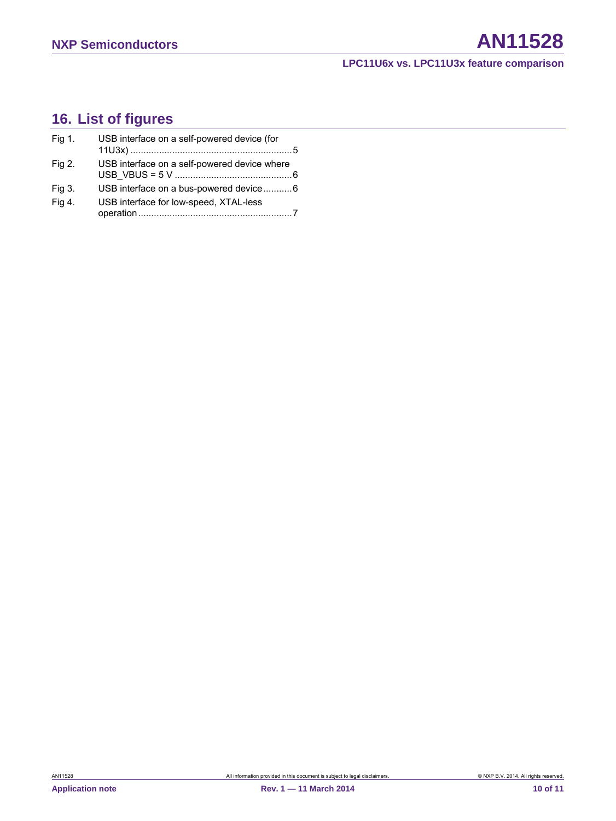# <span id="page-9-0"></span>**16. List of figures**

| Fig 1. | USB interface on a self-powered device (for  |  |
|--------|----------------------------------------------|--|
| Fig 2. | USB interface on a self-powered device where |  |
| Fig 3. | USB interface on a bus-powered device6       |  |
| Fig 4. | USB interface for low-speed, XTAL-less       |  |